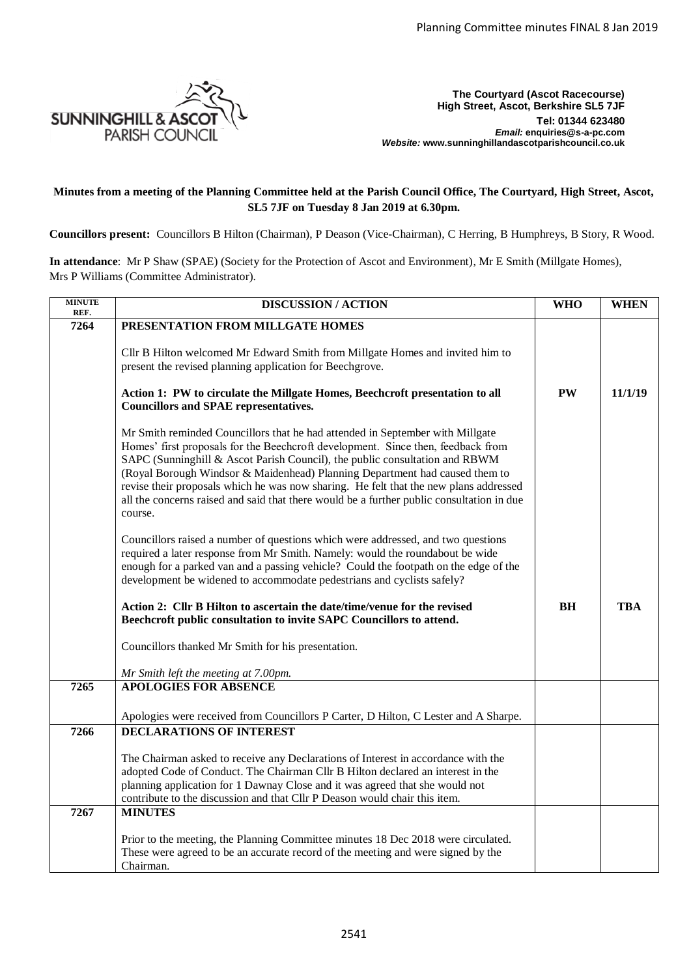

**The Courtyard (Ascot Racecourse) High Street, Ascot, Berkshire SL5 7JF Tel: 01344 623480**  *Email:* **enquiries@s-a-pc.com** *Website:* **www.sunninghillandascotparishcouncil.co.uk**

## **Minutes from a meeting of the Planning Committee held at the Parish Council Office, The Courtyard, High Street, Ascot, SL5 7JF on Tuesday 8 Jan 2019 at 6.30pm.**

**Councillors present:** Councillors B Hilton (Chairman), P Deason (Vice-Chairman), C Herring, B Humphreys, B Story, R Wood.

**In attendance**: Mr P Shaw (SPAE) (Society for the Protection of Ascot and Environment), Mr E Smith (Millgate Homes), Mrs P Williams (Committee Administrator).

| <b>MINUTE</b><br>REF. | <b>DISCUSSION / ACTION</b>                                                                                                                                                                                                                                                                                                                                                                                                                                                                                                       |           | <b>WHEN</b> |
|-----------------------|----------------------------------------------------------------------------------------------------------------------------------------------------------------------------------------------------------------------------------------------------------------------------------------------------------------------------------------------------------------------------------------------------------------------------------------------------------------------------------------------------------------------------------|-----------|-------------|
| 7264                  | PRESENTATION FROM MILLGATE HOMES                                                                                                                                                                                                                                                                                                                                                                                                                                                                                                 |           |             |
|                       | Cllr B Hilton welcomed Mr Edward Smith from Millgate Homes and invited him to<br>present the revised planning application for Beechgrove.                                                                                                                                                                                                                                                                                                                                                                                        |           |             |
|                       | Action 1: PW to circulate the Millgate Homes, Beechcroft presentation to all<br><b>Councillors and SPAE representatives.</b>                                                                                                                                                                                                                                                                                                                                                                                                     | PW        | 11/1/19     |
|                       | Mr Smith reminded Councillors that he had attended in September with Millgate<br>Homes' first proposals for the Beechcroft development. Since then, feedback from<br>SAPC (Sunninghill & Ascot Parish Council), the public consultation and RBWM<br>(Royal Borough Windsor & Maidenhead) Planning Department had caused them to<br>revise their proposals which he was now sharing. He felt that the new plans addressed<br>all the concerns raised and said that there would be a further public consultation in due<br>course. |           |             |
|                       | Councillors raised a number of questions which were addressed, and two questions<br>required a later response from Mr Smith. Namely: would the roundabout be wide<br>enough for a parked van and a passing vehicle? Could the footpath on the edge of the<br>development be widened to accommodate pedestrians and cyclists safely?                                                                                                                                                                                              |           |             |
|                       | Action 2: Cllr B Hilton to ascertain the date/time/venue for the revised<br>Beechcroft public consultation to invite SAPC Councillors to attend.                                                                                                                                                                                                                                                                                                                                                                                 | <b>BH</b> | <b>TBA</b>  |
|                       | Councillors thanked Mr Smith for his presentation.                                                                                                                                                                                                                                                                                                                                                                                                                                                                               |           |             |
|                       | Mr Smith left the meeting at 7.00pm.                                                                                                                                                                                                                                                                                                                                                                                                                                                                                             |           |             |
| 7265                  | <b>APOLOGIES FOR ABSENCE</b>                                                                                                                                                                                                                                                                                                                                                                                                                                                                                                     |           |             |
|                       | Apologies were received from Councillors P Carter, D Hilton, C Lester and A Sharpe.                                                                                                                                                                                                                                                                                                                                                                                                                                              |           |             |
| 7266                  | <b>DECLARATIONS OF INTEREST</b>                                                                                                                                                                                                                                                                                                                                                                                                                                                                                                  |           |             |
|                       | The Chairman asked to receive any Declarations of Interest in accordance with the<br>adopted Code of Conduct. The Chairman Cllr B Hilton declared an interest in the<br>planning application for 1 Dawnay Close and it was agreed that she would not<br>contribute to the discussion and that Cllr P Deason would chair this item.                                                                                                                                                                                               |           |             |
| 7267                  | <b>MINUTES</b>                                                                                                                                                                                                                                                                                                                                                                                                                                                                                                                   |           |             |
|                       | Prior to the meeting, the Planning Committee minutes 18 Dec 2018 were circulated.<br>These were agreed to be an accurate record of the meeting and were signed by the<br>Chairman.                                                                                                                                                                                                                                                                                                                                               |           |             |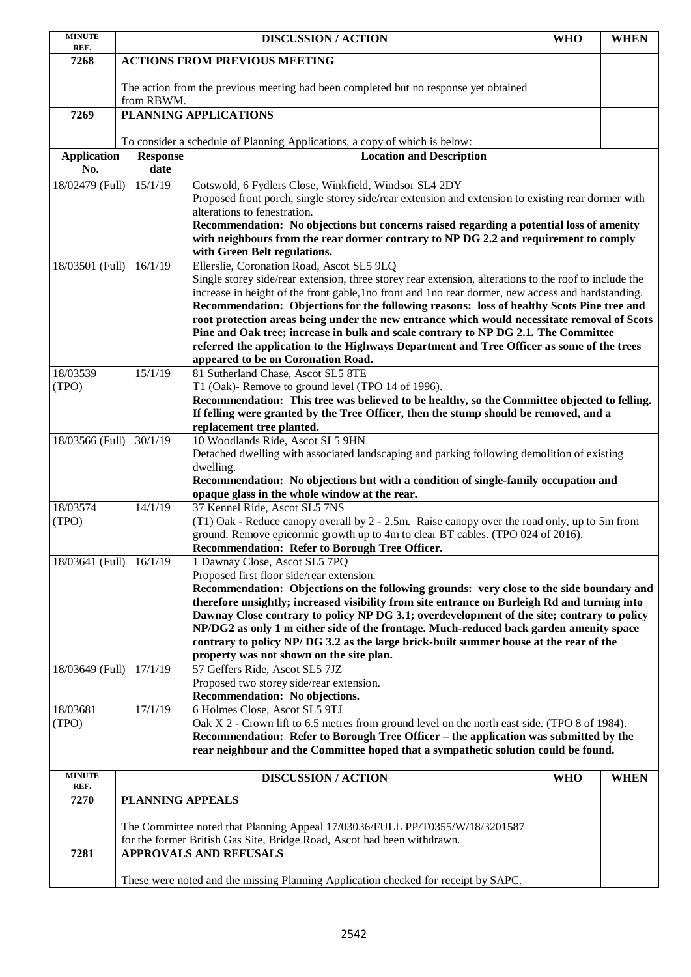| <b>MINUTE</b><br>REF.        |                                                                                                    | <b>DISCUSSION / ACTION</b>                                                                                                                                                                                                                                                                                                                                                                                                                                                                                                                                                                                                                                                       | <b>WHO</b> | <b>WHEN</b> |  |  |
|------------------------------|----------------------------------------------------------------------------------------------------|----------------------------------------------------------------------------------------------------------------------------------------------------------------------------------------------------------------------------------------------------------------------------------------------------------------------------------------------------------------------------------------------------------------------------------------------------------------------------------------------------------------------------------------------------------------------------------------------------------------------------------------------------------------------------------|------------|-------------|--|--|
| 7268                         | <b>ACTIONS FROM PREVIOUS MEETING</b>                                                               |                                                                                                                                                                                                                                                                                                                                                                                                                                                                                                                                                                                                                                                                                  |            |             |  |  |
|                              | The action from the previous meeting had been completed but no response yet obtained<br>from RBWM. |                                                                                                                                                                                                                                                                                                                                                                                                                                                                                                                                                                                                                                                                                  |            |             |  |  |
| 7269                         |                                                                                                    | PLANNING APPLICATIONS                                                                                                                                                                                                                                                                                                                                                                                                                                                                                                                                                                                                                                                            |            |             |  |  |
|                              |                                                                                                    | To consider a schedule of Planning Applications, a copy of which is below:                                                                                                                                                                                                                                                                                                                                                                                                                                                                                                                                                                                                       |            |             |  |  |
| <b>Application</b>           | <b>Response</b>                                                                                    | <b>Location and Description</b>                                                                                                                                                                                                                                                                                                                                                                                                                                                                                                                                                                                                                                                  |            |             |  |  |
| No.                          | date                                                                                               |                                                                                                                                                                                                                                                                                                                                                                                                                                                                                                                                                                                                                                                                                  |            |             |  |  |
| 18/02479 (Full)              | 15/1/19                                                                                            | Cotswold, 6 Fydlers Close, Winkfield, Windsor SL4 2DY<br>Proposed front porch, single storey side/rear extension and extension to existing rear dormer with<br>alterations to fenestration.<br>Recommendation: No objections but concerns raised regarding a potential loss of amenity<br>with neighbours from the rear dormer contrary to NP DG 2.2 and requirement to comply<br>with Green Belt regulations.                                                                                                                                                                                                                                                                   |            |             |  |  |
| 18/03501 (Full)              | 16/1/19                                                                                            | Ellerslie, Coronation Road, Ascot SL5 9LQ<br>Single storey side/rear extension, three storey rear extension, alterations to the roof to include the<br>increase in height of the front gable, 1 no front and 1 no rear dormer, new access and hardstanding.<br>Recommendation: Objections for the following reasons: loss of healthy Scots Pine tree and<br>root protection areas being under the new entrance which would necessitate removal of Scots<br>Pine and Oak tree; increase in bulk and scale contrary to NP DG 2.1. The Committee<br>referred the application to the Highways Department and Tree Officer as some of the trees<br>appeared to be on Coronation Road. |            |             |  |  |
| 18/03539<br>(TPO)            | 15/1/19                                                                                            | 81 Sutherland Chase, Ascot SL5 8TE<br>T1 (Oak)- Remove to ground level (TPO 14 of 1996).<br>Recommendation: This tree was believed to be healthy, so the Committee objected to felling.<br>If felling were granted by the Tree Officer, then the stump should be removed, and a<br>replacement tree planted.                                                                                                                                                                                                                                                                                                                                                                     |            |             |  |  |
| 18/03566 (Full)              | 30/1/19                                                                                            | 10 Woodlands Ride, Ascot SL5 9HN<br>Detached dwelling with associated landscaping and parking following demolition of existing<br>dwelling.<br>Recommendation: No objections but with a condition of single-family occupation and<br>opaque glass in the whole window at the rear.                                                                                                                                                                                                                                                                                                                                                                                               |            |             |  |  |
| 18/03574<br>14/1/19<br>(TPO) |                                                                                                    | 37 Kennel Ride, Ascot SL5 7NS<br>(T1) Oak - Reduce canopy overall by 2 - 2.5m. Raise canopy over the road only, up to 5m from<br>ground. Remove epicormic growth up to 4m to clear BT cables. (TPO 024 of 2016).<br>Recommendation: Refer to Borough Tree Officer.                                                                                                                                                                                                                                                                                                                                                                                                               |            |             |  |  |
| 18/03641 (Full)              | 16/1/19                                                                                            | 1 Dawnay Close, Ascot SL5 7PQ<br>Proposed first floor side/rear extension.<br>Recommendation: Objections on the following grounds: very close to the side boundary and<br>therefore unsightly; increased visibility from site entrance on Burleigh Rd and turning into<br>Dawnay Close contrary to policy NP DG 3.1; overdevelopment of the site; contrary to policy<br>NP/DG2 as only 1 m either side of the frontage. Much-reduced back garden amenity space<br>contrary to policy NP/DG 3.2 as the large brick-built summer house at the rear of the<br>property was not shown on the site plan.                                                                              |            |             |  |  |
| 18/03649 (Full)              | 17/1/19                                                                                            | 57 Geffers Ride, Ascot SL5 7JZ<br>Proposed two storey side/rear extension.<br>Recommendation: No objections.                                                                                                                                                                                                                                                                                                                                                                                                                                                                                                                                                                     |            |             |  |  |
| 18/03681<br>(TPO)            | 17/1/19                                                                                            | 6 Holmes Close, Ascot SL5 9TJ<br>Oak X 2 - Crown lift to 6.5 metres from ground level on the north east side. (TPO 8 of 1984).<br>Recommendation: Refer to Borough Tree Officer – the application was submitted by the<br>rear neighbour and the Committee hoped that a sympathetic solution could be found.                                                                                                                                                                                                                                                                                                                                                                     |            |             |  |  |
| <b>MINUTE</b><br>REF.        |                                                                                                    | <b>DISCUSSION / ACTION</b>                                                                                                                                                                                                                                                                                                                                                                                                                                                                                                                                                                                                                                                       | <b>WHO</b> | <b>WHEN</b> |  |  |
| 7270                         | <b>PLANNING APPEALS</b>                                                                            |                                                                                                                                                                                                                                                                                                                                                                                                                                                                                                                                                                                                                                                                                  |            |             |  |  |
|                              |                                                                                                    | The Committee noted that Planning Appeal 17/03036/FULL PP/T0355/W/18/3201587<br>for the former British Gas Site, Bridge Road, Ascot had been withdrawn.                                                                                                                                                                                                                                                                                                                                                                                                                                                                                                                          |            |             |  |  |
| 7281                         |                                                                                                    | <b>APPROVALS AND REFUSALS</b>                                                                                                                                                                                                                                                                                                                                                                                                                                                                                                                                                                                                                                                    |            |             |  |  |
|                              |                                                                                                    | These were noted and the missing Planning Application checked for receipt by SAPC.                                                                                                                                                                                                                                                                                                                                                                                                                                                                                                                                                                                               |            |             |  |  |